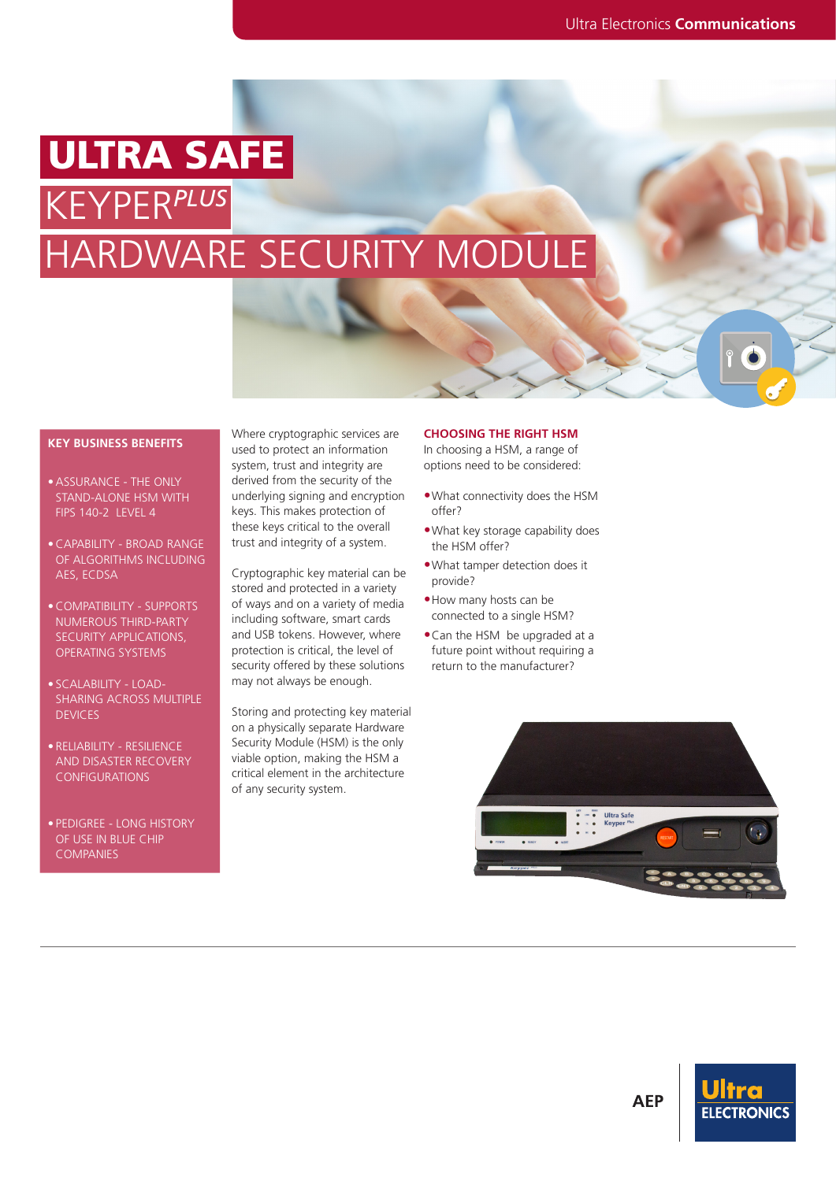# ULTRA SAFE KEYPER*PLUS* HARDWARE SECURITY MODULE

### **KEY BUSINESS BENEFITS**

- ASSURANCE THE ONLY STAND-ALONE HSM WITH FIPS 140-2 LEVEL 4
- CAPABILITY BROAD RANGE OF ALGORITHMS INCLUDING AES, ECDSA
- COMPATIBILITY SUPPORTS NUMEROUS THIRD-PARTY SECURITY APPLICATIONS, OPERATING SYSTEMS
- SCALABILITY LOAD-SHARING ACROSS MULTIPLE DEVICES
- RELIABILITY RESILIENCE AND DISASTER RECOVERY CONFIGURATIONS
- PEDIGREE LONG HISTORY OF USE IN BLUE CHIP **COMPANIES**

Where cryptographic services are used to protect an information system, trust and integrity are derived from the security of the underlying signing and encryption keys. This makes protection of these keys critical to the overall trust and integrity of a system.

Cryptographic key material can be stored and protected in a variety of ways and on a variety of media including software, smart cards and USB tokens. However, where protection is critical, the level of security offered by these solutions may not always be enough.

Storing and protecting key material on a physically separate Hardware Security Module (HSM) is the only viable option, making the HSM a critical element in the architecture of any security system.

#### **CHOOSING THE RIGHT HSM**

In choosing a HSM, a range of options need to be considered:

- •What connectivity does the HSM offer?
- •What key storage capability does the HSM offer?
- •What tamper detection does it provide?
- •How many hosts can be connected to a single HSM?
- •Can the HSM be upgraded at a future point without requiring a return to the manufacturer?



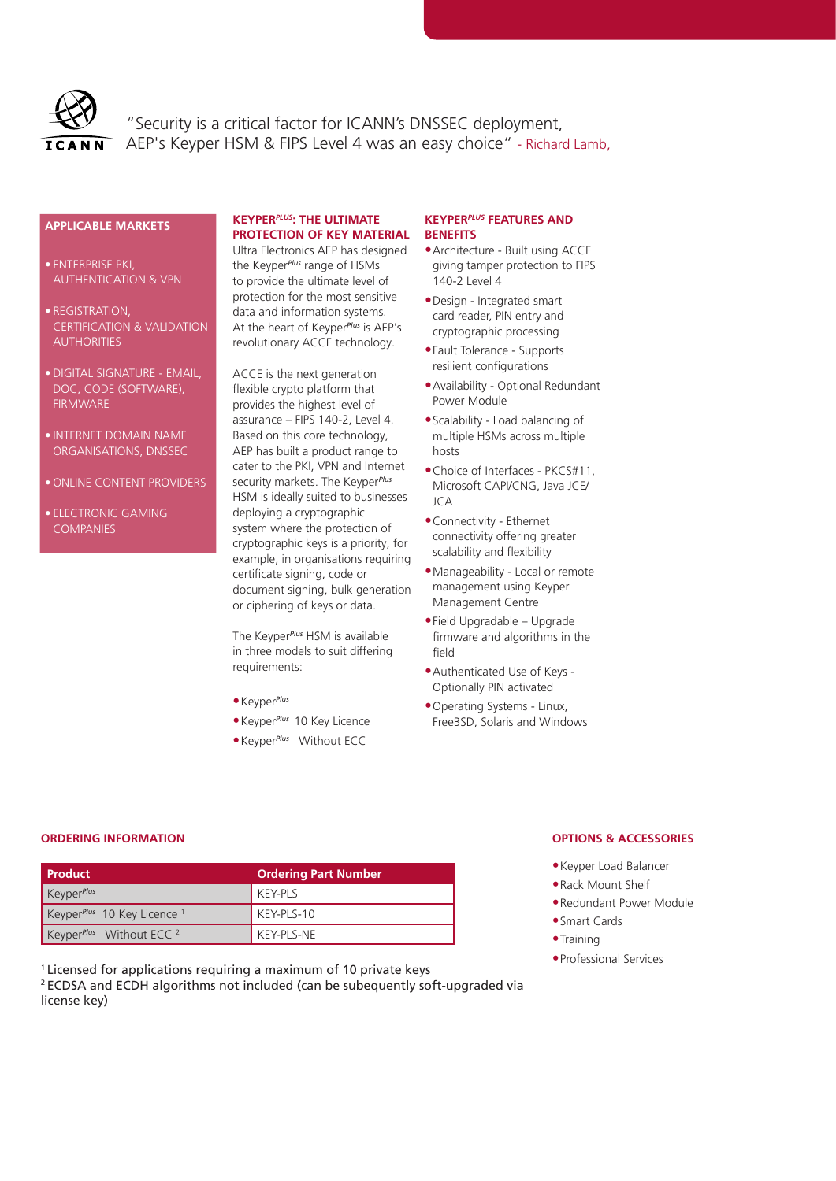

"Security is a critical factor for ICANN's DNSSEC deployment, AEP's Keyper HSM & FIPS Level 4 was an easy choice" - Richard Lamb,

## **APPLICABLE MARKETS**

- ENTERPRISE PKI, AUTHENTICATION & VPN
- REGISTRATION, CERTIFICATION & VALIDATION **AUTHORITIES**
- DIGITAL SIGNATURE EMAIL, DOC, CODE (SOFTWARE), FIRMWARE
- INTERNET DOMAIN NAME ORGANISATIONS, DNSSEC
- ONLINE CONTENT PROVIDERS
- ELECTRONIC GAMING COMPANIES

#### **KEYPER***PLUS***: THE ULTIMATE PROTECTION OF KEY MATERIAL**

Ultra Electronics AEP has designed the Keyper*Plus* range of HSMs to provide the ultimate level of protection for the most sensitive data and information systems. At the heart of Keyper*Plus* is AEP's revolutionary ACCE technology.

ACCE is the next generation flexible crypto platform that provides the highest level of assurance – FIPS 140-2, Level 4. Based on this core technology, AEP has built a product range to cater to the PKI, VPN and Internet security markets. The Keyper*Plus* HSM is ideally suited to businesses deploying a cryptographic system where the protection of cryptographic keys is a priority, for example, in organisations requiring certificate signing, code or document signing, bulk generation or ciphering of keys or data.

The Keyper*Plus* HSM is available in three models to suit differing requirements:

- •Keyper*Plus*
- •Keyper*Plus* 10 Key Licence
- •Keyper*Plus* Without ECC

#### **KEYPER***PLUS* **FEATURES AND BENEFITS**

- •Architecture Built using ACCE giving tamper protection to FIPS 140-2 Level 4
- •Design Integrated smart card reader, PIN entry and cryptographic processing
- •Fault Tolerance Supports resilient configurations
- •Availability Optional Redundant Power Module
- •Scalability Load balancing of multiple HSMs across multiple hosts
- •Choice of Interfaces PKCS#11, Microsoft CAPI/CNG, Java JCE/  $ICA$
- •Connectivity Ethernet connectivity offering greater scalability and flexibility
- •Manageability Local or remote management using Keyper Management Centre
- •Field Upgradable Upgrade firmware and algorithms in the field
- •Authenticated Use of Keys Optionally PIN activated
- •Operating Systems Linux, FreeBSD, Solaris and Windows

# **ORDERING INFORMATION**

| Product                                         | <b>Ordering Part Number</b> |
|-------------------------------------------------|-----------------------------|
| KeyperPlus                                      | KEY-PLS                     |
| Keyper <sup>Plus</sup> 10 Key Licence           | KEY-PLS-10                  |
| Keyper <sup>Plus</sup> Without ECC <sup>2</sup> | KEY-PLS-NE                  |

<sup>1</sup> Licensed for applications requiring a maximum of 10 private keys 2 ECDSA and ECDH algorithms not included (can be subequently soft-upgraded via license key)

## **OPTIONS & ACCESSORIES**

- •Keyper Load Balancer
- •Rack Mount Shelf
- •Redundant Power Module
- •Smart Cards
- •Training
- •Professional Services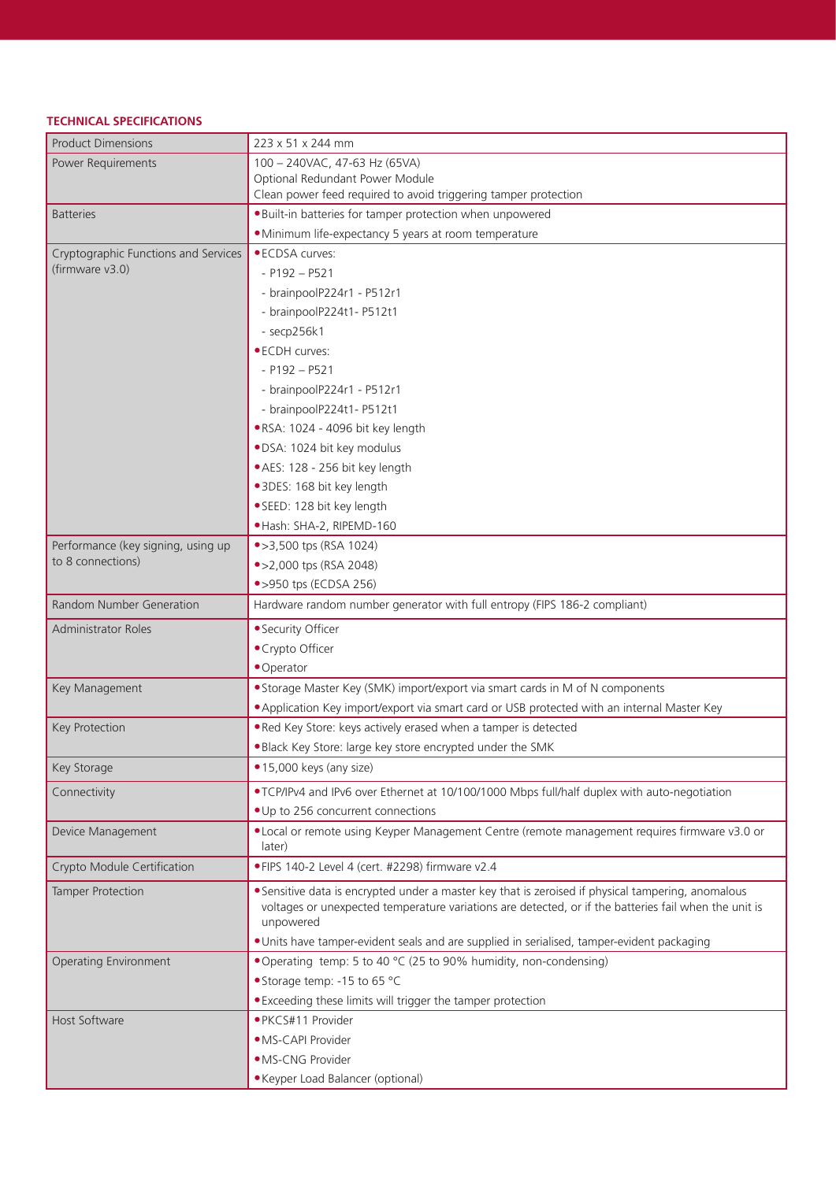## **TECHNICAL SPECIFICATIONS**

| <b>Product Dimensions</b>            | 223 x 51 x 244 mm                                                                                                                                                                                                                                                                                                      |
|--------------------------------------|------------------------------------------------------------------------------------------------------------------------------------------------------------------------------------------------------------------------------------------------------------------------------------------------------------------------|
| Power Requirements                   | 100 - 240VAC, 47-63 Hz (65VA)                                                                                                                                                                                                                                                                                          |
|                                      | Optional Redundant Power Module<br>Clean power feed required to avoid triggering tamper protection                                                                                                                                                                                                                     |
|                                      | . Built-in batteries for tamper protection when unpowered                                                                                                                                                                                                                                                              |
| <b>Batteries</b>                     | · Minimum life-expectancy 5 years at room temperature                                                                                                                                                                                                                                                                  |
| Cryptographic Functions and Services | • ECDSA curves:                                                                                                                                                                                                                                                                                                        |
| (firmware v3.0)                      | $-$ P192 $-$ P521                                                                                                                                                                                                                                                                                                      |
|                                      | - brainpoolP224r1 - P512r1                                                                                                                                                                                                                                                                                             |
|                                      | - brainpoolP224t1- P512t1                                                                                                                                                                                                                                                                                              |
|                                      | $-$ secp256 $k1$                                                                                                                                                                                                                                                                                                       |
|                                      | • ECDH curves:                                                                                                                                                                                                                                                                                                         |
|                                      | $-$ P192 $-$ P521                                                                                                                                                                                                                                                                                                      |
|                                      | - brainpoolP224r1 - P512r1                                                                                                                                                                                                                                                                                             |
|                                      | - brainpoolP224t1- P512t1                                                                                                                                                                                                                                                                                              |
|                                      | ·RSA: 1024 - 4096 bit key length                                                                                                                                                                                                                                                                                       |
|                                      | · DSA: 1024 bit key modulus                                                                                                                                                                                                                                                                                            |
|                                      | • AES: 128 - 256 bit key length                                                                                                                                                                                                                                                                                        |
|                                      | ·3DES: 168 bit key length                                                                                                                                                                                                                                                                                              |
|                                      | • SEED: 128 bit key length                                                                                                                                                                                                                                                                                             |
|                                      | · Hash: SHA-2, RIPEMD-160                                                                                                                                                                                                                                                                                              |
| Performance (key signing, using up   | • > 3,500 tps (RSA 1024)                                                                                                                                                                                                                                                                                               |
| to 8 connections)                    | • > 2,000 tps (RSA 2048)                                                                                                                                                                                                                                                                                               |
|                                      | • > 950 tps (ECDSA 256)                                                                                                                                                                                                                                                                                                |
| <b>Random Number Generation</b>      | Hardware random number generator with full entropy (FIPS 186-2 compliant)                                                                                                                                                                                                                                              |
| <b>Administrator Roles</b>           | • Security Officer                                                                                                                                                                                                                                                                                                     |
|                                      | • Crypto Officer                                                                                                                                                                                                                                                                                                       |
|                                      | • Operator                                                                                                                                                                                                                                                                                                             |
| Key Management                       | • Storage Master Key (SMK) import/export via smart cards in M of N components                                                                                                                                                                                                                                          |
|                                      | . Application Key import/export via smart card or USB protected with an internal Master Key                                                                                                                                                                                                                            |
| Key Protection                       | . Red Key Store: keys actively erased when a tamper is detected                                                                                                                                                                                                                                                        |
|                                      | . Black Key Store: large key store encrypted under the SMK                                                                                                                                                                                                                                                             |
| Key Storage                          | • 15,000 keys (any size)                                                                                                                                                                                                                                                                                               |
| Connectivity                         | . TCP/IPv4 and IPv6 over Ethernet at 10/100/1000 Mbps full/half duplex with auto-negotiation                                                                                                                                                                                                                           |
|                                      | . Up to 256 concurrent connections                                                                                                                                                                                                                                                                                     |
| Device Management                    | . Local or remote using Keyper Management Centre (remote management requires firmware v3.0 or<br>later)                                                                                                                                                                                                                |
| Crypto Module Certification          | . FIPS 140-2 Level 4 (cert. #2298) firmware v2.4                                                                                                                                                                                                                                                                       |
| Tamper Protection                    | • Sensitive data is encrypted under a master key that is zeroised if physical tampering, anomalous<br>voltages or unexpected temperature variations are detected, or if the batteries fail when the unit is<br>unpowered<br>. Units have tamper-evident seals and are supplied in serialised, tamper-evident packaging |
| <b>Operating Environment</b>         | • Operating temp: 5 to 40 °C (25 to 90% humidity, non-condensing)                                                                                                                                                                                                                                                      |
|                                      | • Storage temp: -15 to 65 °C                                                                                                                                                                                                                                                                                           |
|                                      | • Exceeding these limits will trigger the tamper protection                                                                                                                                                                                                                                                            |
| Host Software                        | · PKCS#11 Provider                                                                                                                                                                                                                                                                                                     |
|                                      | · MS-CAPI Provider                                                                                                                                                                                                                                                                                                     |
|                                      | · MS-CNG Provider                                                                                                                                                                                                                                                                                                      |
|                                      | • Keyper Load Balancer (optional)                                                                                                                                                                                                                                                                                      |
|                                      |                                                                                                                                                                                                                                                                                                                        |